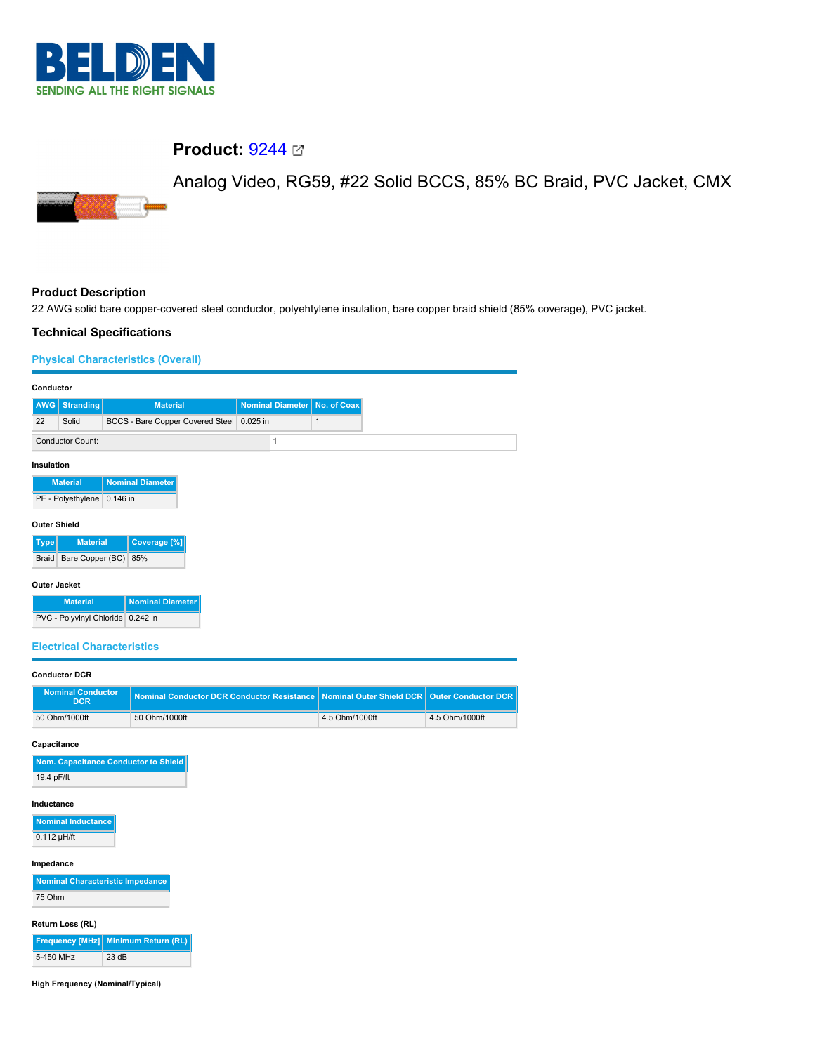

# **Product: [9244](https://catalog.belden.com/index.cfm?event=pd&p=PF_9244&tab=downloads) 2**

Analog Video, RG59, #22 Solid BCCS, 85% BC Braid, PVC Jacket, CMX



# **Product Description**

22 AWG solid bare copper-covered steel conductor, polyehtylene insulation, bare copper braid shield (85% coverage), PVC jacket.

# **Technical Specifications**

# **Physical Characteristics (Overall)**

| Conductor                         |                                        |          |                                                                                             |  |                         |              |  |
|-----------------------------------|----------------------------------------|----------|---------------------------------------------------------------------------------------------|--|-------------------------|--------------|--|
| <b>AWG</b>                        | Stranding                              |          | <b>Material</b>                                                                             |  | <b>Nominal Diameter</b> | No. of Coax  |  |
| 22                                | Solid                                  |          | BCCS - Bare Copper Covered Steel 0.025 in                                                   |  |                         | $\mathbf{1}$ |  |
|                                   | <b>Conductor Count:</b>                |          |                                                                                             |  | 1                       |              |  |
| Insulation                        |                                        |          |                                                                                             |  |                         |              |  |
|                                   | <b>Material</b>                        |          | <b>Nominal Diameter</b>                                                                     |  |                         |              |  |
|                                   | PE - Polyethylene                      | 0.146 in |                                                                                             |  |                         |              |  |
| <b>Outer Shield</b>               |                                        |          |                                                                                             |  |                         |              |  |
| <b>Type</b>                       | <b>Material</b>                        |          | Coverage <sup>[%]</sup>                                                                     |  |                         |              |  |
| Braid                             | Bare Copper (BC)                       |          | 85%                                                                                         |  |                         |              |  |
|                                   |                                        |          |                                                                                             |  |                         |              |  |
| <b>Outer Jacket</b>               |                                        |          |                                                                                             |  |                         |              |  |
|                                   | <b>Material</b>                        |          | <b>Nominal Diameter</b>                                                                     |  |                         |              |  |
| PVC - Polyvinyl Chloride 0.242 in |                                        |          |                                                                                             |  |                         |              |  |
| <b>Electrical Characteristics</b> |                                        |          |                                                                                             |  |                         |              |  |
|                                   |                                        |          |                                                                                             |  |                         |              |  |
|                                   | <b>Conductor DCR</b>                   |          |                                                                                             |  |                         |              |  |
|                                   | <b>Nominal Conductor</b><br><b>DCR</b> |          | Nominal Conductor DCR Conductor Resistance   Nominal Outer Shield DCR   Outer Conductor DCR |  |                         |              |  |

| nominal conquetor<br>DCR | Nominal Conductor DCR Conductor Resistance   Nominal Outer Shield DCR   Outer Conductor DCR |                |                |
|--------------------------|---------------------------------------------------------------------------------------------|----------------|----------------|
| 50 Ohm/1000ft            | 50 Ohm/1000ft                                                                               | 4.5 Ohm/1000ft | 4.5 Ohm/1000ft |

#### **Capacitance**

| Nom. Capacitance Conductor to Shield |
|--------------------------------------|
| 19.4 pF/ft                           |

### **Inductance**

| <b>Nominal Inductance</b> |
|---------------------------|
| $0.112$ µH/ft             |

#### **Impedance**

| Nominal Characteristic Impedance |  |
|----------------------------------|--|
| 75 Ohm                           |  |

### **Return Loss (RL)**

|           | Frequency [MHz] Minimum Return (RL) |
|-----------|-------------------------------------|
| 5-450 MHz | 23 dB                               |

**High Frequency (Nominal/Typical)**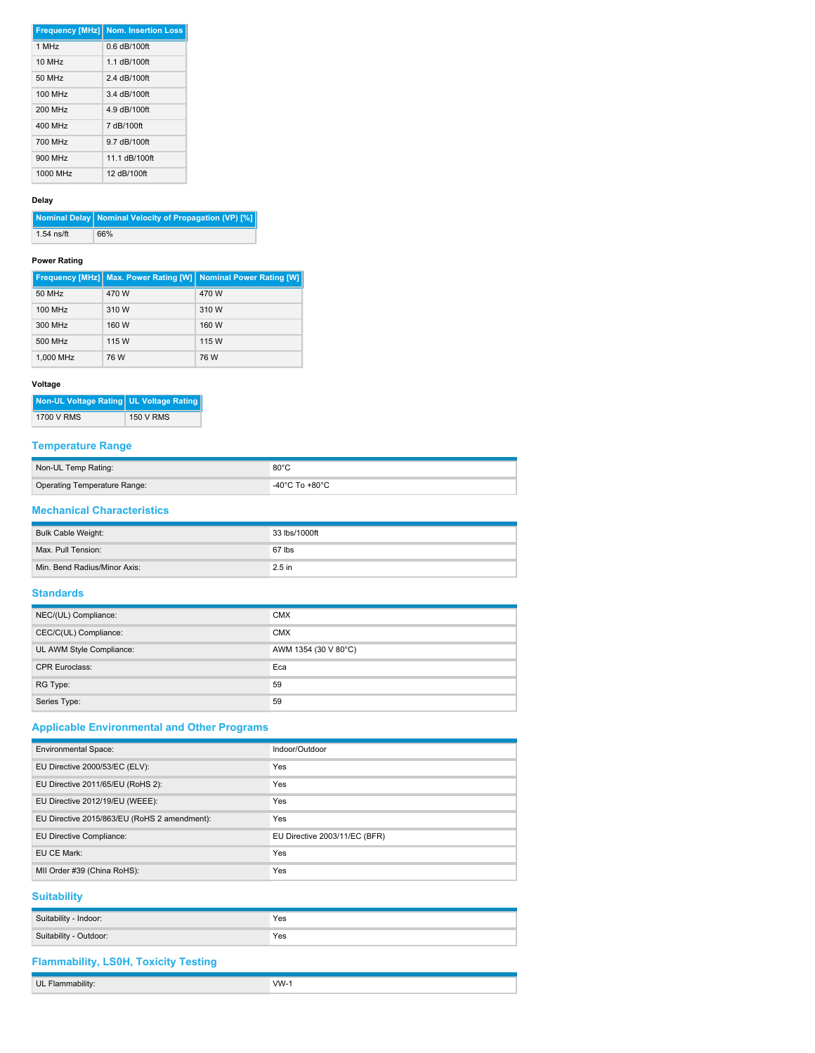|            | <b>Frequency [MHz] Nom. Insertion Loss</b> |
|------------|--------------------------------------------|
| $1$ MH $z$ | $0.6$ dB/100ft                             |
| 10 MHz     | 1.1 dB/100ft                               |
| 50 MHz     | 2.4 dB/100ft                               |
| 100 MHz    | 3.4 dB/100ft                               |
| 200 MHz    | 4.9 dB/100ft                               |
| 400 MHz    | 7 dB/100ft                                 |
| 700 MHz    | 9.7 dB/100ft                               |
| 900 MHz    | 11.1 dB/100ft                              |
| 1000 MHz   | 12 dB/100ft                                |

#### **Delay**

**Nominal Delay Nominal Velocity of Propagation (VP) [%]** 1.54 ns/ft 66%

## **Power Rating**

|           |       | Frequency [MHz]   Max. Power Rating [W]   Nominal Power Rating [W] |
|-----------|-------|--------------------------------------------------------------------|
| 50 MHz    | 470 W | 470 W                                                              |
| 100 MHz   | 310 W | 310 W                                                              |
| 300 MHz   | 160 W | 160 W                                                              |
| 500 MHz   | 115 W | 115 W                                                              |
| 1.000 MHz | 76 W  | 76 W                                                               |

# **Voltage**

| Non-UL Voltage Rating UL Voltage Rating |                  |
|-----------------------------------------|------------------|
| 1700 V RMS                              | <b>150 V RMS</b> |

## **Temperature Range**

| Non-UL Temp Rating:          | $80^{\circ}$ C |
|------------------------------|----------------|
| Operating Temperature Range: | -40°C To +80°C |

# **Mechanical Characteristics**

| Bulk Cable Weight:           | 33 lbs/1000ft     |
|------------------------------|-------------------|
| Max. Pull Tension:           | 67 lbs            |
| Min. Bend Radius/Minor Axis: | 2.5 <sub>in</sub> |

# **Standards**

| NEC/(UL) Compliance:     | <b>CMX</b>           |
|--------------------------|----------------------|
| CEC/C(UL) Compliance:    | <b>CMX</b>           |
| UL AWM Style Compliance: | AWM 1354 (30 V 80°C) |
| <b>CPR Euroclass:</b>    | Eca                  |
| RG Type:                 | 59                   |
| Series Type:             | 59                   |

# **Applicable Environmental and Other Programs**

| <b>Environmental Space:</b>                  | Indoor/Outdoor                |
|----------------------------------------------|-------------------------------|
| EU Directive 2000/53/EC (ELV):               | <b>Yes</b>                    |
| EU Directive 2011/65/EU (RoHS 2):            | Yes                           |
| EU Directive 2012/19/EU (WEEE):              | <b>Yes</b>                    |
| EU Directive 2015/863/EU (RoHS 2 amendment): | Yes                           |
| EU Directive Compliance:                     | EU Directive 2003/11/EC (BFR) |
| EU CE Mark:                                  | Yes                           |
| MII Order #39 (China RoHS):                  | Yes                           |

# **Suitability**

| Suitability - Indoor:  | Yes |
|------------------------|-----|
| Suitability - Outdoor: | Yes |

# **Flammability, LS0H, Toxicity Testing**

| 1.1.1.1<br>UL<br>. a allia v | $\mathbf{M}$<br>. . |
|------------------------------|---------------------|
|                              |                     |